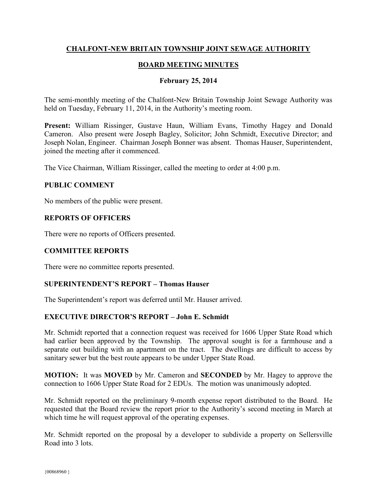# **CHALFONT-NEW BRITAIN TOWNSHIP JOINT SEWAGE AUTHORITY**

# **BOARD MEETING MINUTES**

## **February 25, 2014**

The semi-monthly meeting of the Chalfont-New Britain Township Joint Sewage Authority was held on Tuesday, February 11, 2014, in the Authority's meeting room.

**Present:** William Rissinger, Gustave Haun, William Evans, Timothy Hagey and Donald Cameron. Also present were Joseph Bagley, Solicitor; John Schmidt, Executive Director; and Joseph Nolan, Engineer. Chairman Joseph Bonner was absent. Thomas Hauser, Superintendent, joined the meeting after it commenced.

The Vice Chairman, William Rissinger, called the meeting to order at 4:00 p.m.

### **PUBLIC COMMENT**

No members of the public were present.

### **REPORTS OF OFFICERS**

There were no reports of Officers presented.

# **COMMITTEE REPORTS**

There were no committee reports presented.

### **SUPERINTENDENT'S REPORT – Thomas Hauser**

The Superintendent's report was deferred until Mr. Hauser arrived.

### **EXECUTIVE DIRECTOR'S REPORT – John E. Schmidt**

Mr. Schmidt reported that a connection request was received for 1606 Upper State Road which had earlier been approved by the Township. The approval sought is for a farmhouse and a separate out building with an apartment on the tract. The dwellings are difficult to access by sanitary sewer but the best route appears to be under Upper State Road.

**MOTION:** It was **MOVED** by Mr. Cameron and **SECONDED** by Mr. Hagey to approve the connection to 1606 Upper State Road for 2 EDUs. The motion was unanimously adopted.

Mr. Schmidt reported on the preliminary 9-month expense report distributed to the Board. He requested that the Board review the report prior to the Authority's second meeting in March at which time he will request approval of the operating expenses.

Mr. Schmidt reported on the proposal by a developer to subdivide a property on Sellersville Road into 3 lots.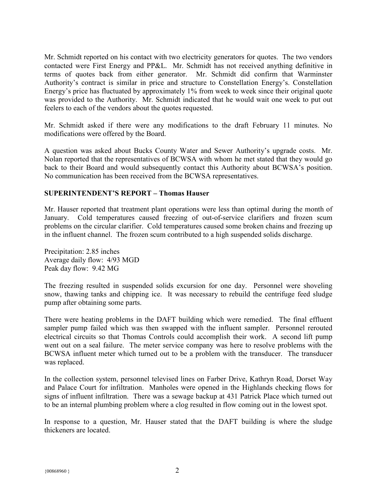Mr. Schmidt reported on his contact with two electricity generators for quotes. The two vendors contacted were First Energy and PP&L. Mr. Schmidt has not received anything definitive in terms of quotes back from either generator. Mr. Schmidt did confirm that Warminster Authority's contract is similar in price and structure to Constellation Energy's. Constellation Energy's price has fluctuated by approximately 1% from week to week since their original quote was provided to the Authority. Mr. Schmidt indicated that he would wait one week to put out feelers to each of the vendors about the quotes requested.

Mr. Schmidt asked if there were any modifications to the draft February 11 minutes. No modifications were offered by the Board.

A question was asked about Bucks County Water and Sewer Authority's upgrade costs. Mr. Nolan reported that the representatives of BCWSA with whom he met stated that they would go back to their Board and would subsequently contact this Authority about BCWSA's position. No communication has been received from the BCWSA representatives.

### **SUPERINTENDENT'S REPORT – Thomas Hauser**

Mr. Hauser reported that treatment plant operations were less than optimal during the month of January. Cold temperatures caused freezing of out-of-service clarifiers and frozen scum problems on the circular clarifier. Cold temperatures caused some broken chains and freezing up in the influent channel. The frozen scum contributed to a high suspended solids discharge.

Precipitation: 2.85 inches Average daily flow: 4/93 MGD Peak day flow: 9.42 MG

The freezing resulted in suspended solids excursion for one day. Personnel were shoveling snow, thawing tanks and chipping ice. It was necessary to rebuild the centrifuge feed sludge pump after obtaining some parts.

There were heating problems in the DAFT building which were remedied. The final effluent sampler pump failed which was then swapped with the influent sampler. Personnel rerouted electrical circuits so that Thomas Controls could accomplish their work. A second lift pump went out on a seal failure. The meter service company was here to resolve problems with the BCWSA influent meter which turned out to be a problem with the transducer. The transducer was replaced.

In the collection system, personnel televised lines on Farber Drive, Kathryn Road, Dorset Way and Palace Court for infiltration. Manholes were opened in the Highlands checking flows for signs of influent infiltration. There was a sewage backup at 431 Patrick Place which turned out to be an internal plumbing problem where a clog resulted in flow coming out in the lowest spot.

In response to a question, Mr. Hauser stated that the DAFT building is where the sludge thickeners are located.